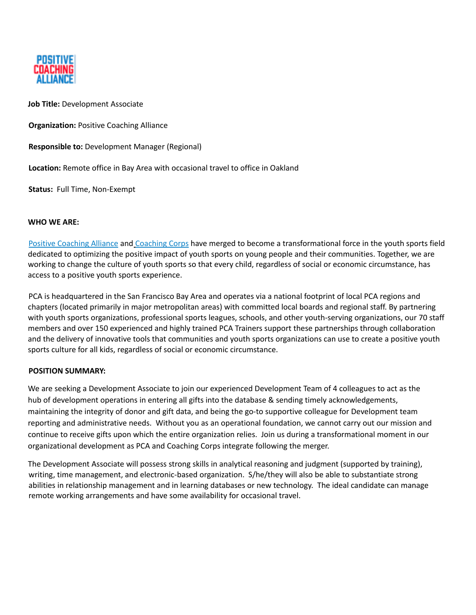

**Job Title:** Development Associate

**Organization:** Positive Coaching Alliance

**Responsible to:** Development Manager (Regional)

**Location:** Remote office in Bay Area with occasional travel to office in Oakland

**Status:** Full Time, Non-Exempt

### **WHO WE ARE:**

Positive Coaching Alliance and Coaching Corps have merged to become a transformational force in the youth sports field dedicated to optimizing the positive impact of youth sports on young people and their communities. Together, we are working to change the culture of youth sports so that every child, regardless of social or economic circumstance, has access to a positive youth sports experience.

PCA is headquartered in the San Francisco Bay Area and operates via a national footprint of local PCA regions and chapters (located primarily in major metropolitan areas) with committed local boards and regional staff. By partnering with youth sports organizations, professional sports leagues, schools, and other youth-serving organizations, our 70 staff members and over 150 experienced and highly trained PCA Trainers support these partnerships through collaboration and the delivery of innovative tools that communities and youth sports organizations can use to create a positive youth sports culture for all kids, regardless of social or economic circumstance.

### **POSITION SUMMARY:**

We are seeking a Development Associate to join our experienced Development Team of 4 colleagues to act as the hub of development operations in entering all gifts into the database & sending timely acknowledgements, maintaining the integrity of donor and gift data, and being the go-to supportive colleague for Development team reporting and administrative needs. Without you as an operational foundation, we cannot carry out our mission and continue to receive gifts upon which the entire organization relies. Join us during a transformational moment in our organizational development as PCA and Coaching Corps integrate following the merger.

The Development Associate will possess strong skills in analytical reasoning and judgment (supported by training), writing, time management, and electronic-based organization. S/he/they will also be able to substantiate strong abilities in relationship management and in learning databases or new technology. The ideal candidate can manage remote working arrangements and have some availability for occasional travel.